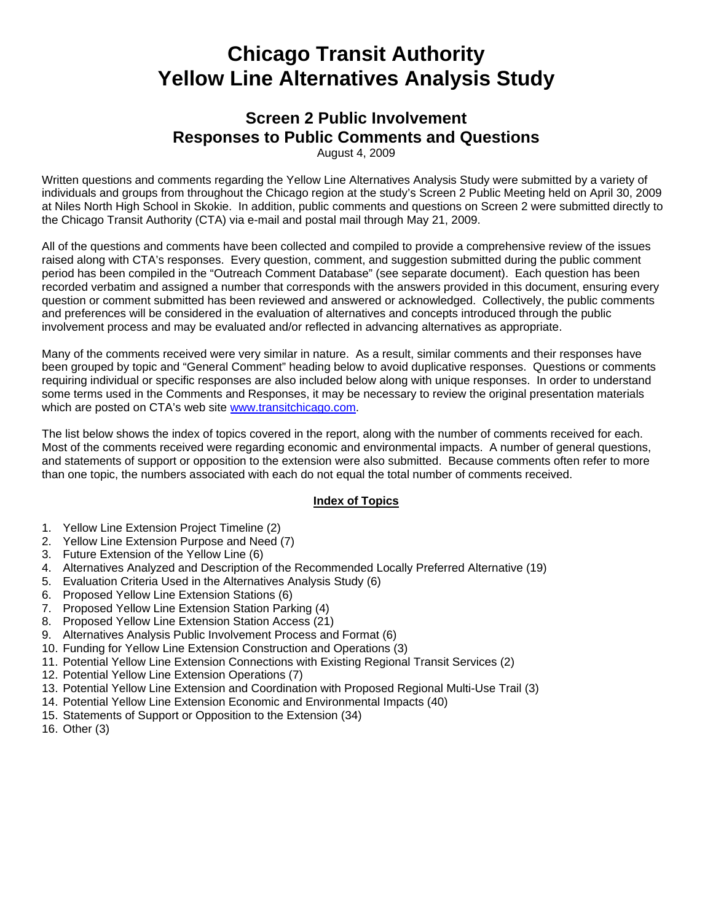# **Chicago Transit Authority Yellow Line Alternatives Analysis Study**

# **Screen 2 Public Involvement Responses to Public Comments and Questions**

August 4, 2009

Written questions and comments regarding the Yellow Line Alternatives Analysis Study were submitted by a variety of individuals and groups from throughout the Chicago region at the study's Screen 2 Public Meeting held on April 30, 2009 at Niles North High School in Skokie. In addition, public comments and questions on Screen 2 were submitted directly to the Chicago Transit Authority (CTA) via e-mail and postal mail through May 21, 2009.

All of the questions and comments have been collected and compiled to provide a comprehensive review of the issues raised along with CTA's responses. Every question, comment, and suggestion submitted during the public comment period has been compiled in the "Outreach Comment Database" (see separate document). Each question has been recorded verbatim and assigned a number that corresponds with the answers provided in this document, ensuring every question or comment submitted has been reviewed and answered or acknowledged. Collectively, the public comments and preferences will be considered in the evaluation of alternatives and concepts introduced through the public involvement process and may be evaluated and/or reflected in advancing alternatives as appropriate.

Many of the comments received were very similar in nature. As a result, similar comments and their responses have been grouped by topic and "General Comment" heading below to avoid duplicative responses. Questions or comments requiring individual or specific responses are also included below along with unique responses. In order to understand some terms used in the Comments and Responses, it may be necessary to review the original presentation materials which are posted on CTA's web site www.transitchicago.com.

The list below shows the index of topics covered in the report, along with the number of comments received for each. Most of the comments received were regarding economic and environmental impacts. A number of general questions, and statements of support or opposition to the extension were also submitted. Because comments often refer to more than one topic, the numbers associated with each do not equal the total number of comments received.

## **Index of Topics**

- 1. Yellow Line Extension Project Timeline (2)
- 2. Yellow Line Extension Purpose and Need (7)
- 3. Future Extension of the Yellow Line (6)
- 4. Alternatives Analyzed and Description of the Recommended Locally Preferred Alternative (19)
- 5. Evaluation Criteria Used in the Alternatives Analysis Study (6)
- 6. Proposed Yellow Line Extension Stations (6)
- 7. Proposed Yellow Line Extension Station Parking (4)
- 8. Proposed Yellow Line Extension Station Access (21)
- 9. Alternatives Analysis Public Involvement Process and Format (6)
- 10. Funding for Yellow Line Extension Construction and Operations (3)
- 11. Potential Yellow Line Extension Connections with Existing Regional Transit Services (2)
- 12. Potential Yellow Line Extension Operations (7)
- 13. Potential Yellow Line Extension and Coordination with Proposed Regional Multi-Use Trail (3)
- 14. Potential Yellow Line Extension Economic and Environmental Impacts (40)
- 15. Statements of Support or Opposition to the Extension (34)
- 16. Other (3)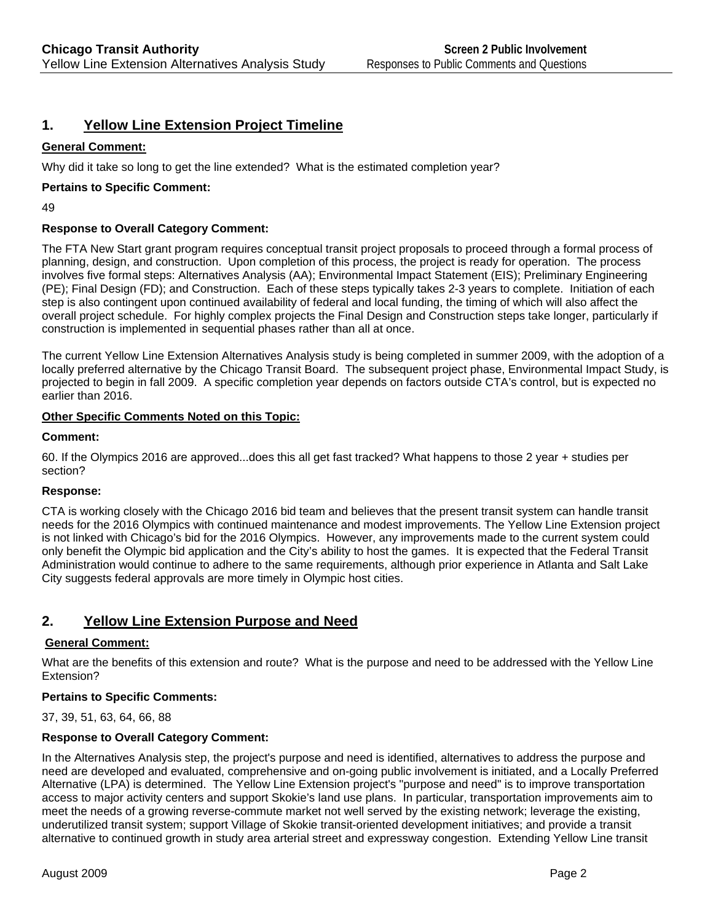# **1. Yellow Line Extension Project Timeline**

## **General Comment:**

Why did it take so long to get the line extended? What is the estimated completion year?

## **Pertains to Specific Comment:**

49

## **Response to Overall Category Comment:**

The FTA New Start grant program requires conceptual transit project proposals to proceed through a formal process of planning, design, and construction. Upon completion of this process, the project is ready for operation. The process involves five formal steps: Alternatives Analysis (AA); Environmental Impact Statement (EIS); Preliminary Engineering (PE); Final Design (FD); and Construction. Each of these steps typically takes 2-3 years to complete. Initiation of each step is also contingent upon continued availability of federal and local funding, the timing of which will also affect the overall project schedule. For highly complex projects the Final Design and Construction steps take longer, particularly if construction is implemented in sequential phases rather than all at once.

The current Yellow Line Extension Alternatives Analysis study is being completed in summer 2009, with the adoption of a locally preferred alternative by the Chicago Transit Board. The subsequent project phase, Environmental Impact Study, is projected to begin in fall 2009. A specific completion year depends on factors outside CTA's control, but is expected no earlier than 2016.

#### **Other Specific Comments Noted on this Topic:**

#### **Comment:**

60. If the Olympics 2016 are approved...does this all get fast tracked? What happens to those 2 year + studies per section?

#### **Response:**

CTA is working closely with the Chicago 2016 bid team and believes that the present transit system can handle transit needs for the 2016 Olympics with continued maintenance and modest improvements. The Yellow Line Extension project is not linked with Chicago's bid for the 2016 Olympics. However, any improvements made to the current system could only benefit the Olympic bid application and the City's ability to host the games. It is expected that the Federal Transit Administration would continue to adhere to the same requirements, although prior experience in Atlanta and Salt Lake City suggests federal approvals are more timely in Olympic host cities.

# **2. Yellow Line Extension Purpose and Need**

## **General Comment:**

What are the benefits of this extension and route? What is the purpose and need to be addressed with the Yellow Line Extension?

#### **Pertains to Specific Comments:**

37, 39, 51, 63, 64, 66, 88

## **Response to Overall Category Comment:**

In the Alternatives Analysis step, the project's purpose and need is identified, alternatives to address the purpose and need are developed and evaluated, comprehensive and on-going public involvement is initiated, and a Locally Preferred Alternative (LPA) is determined. The Yellow Line Extension project's "purpose and need" is to improve transportation access to major activity centers and support Skokie's land use plans. In particular, transportation improvements aim to meet the needs of a growing reverse-commute market not well served by the existing network; leverage the existing, underutilized transit system; support Village of Skokie transit-oriented development initiatives; and provide a transit alternative to continued growth in study area arterial street and expressway congestion. Extending Yellow Line transit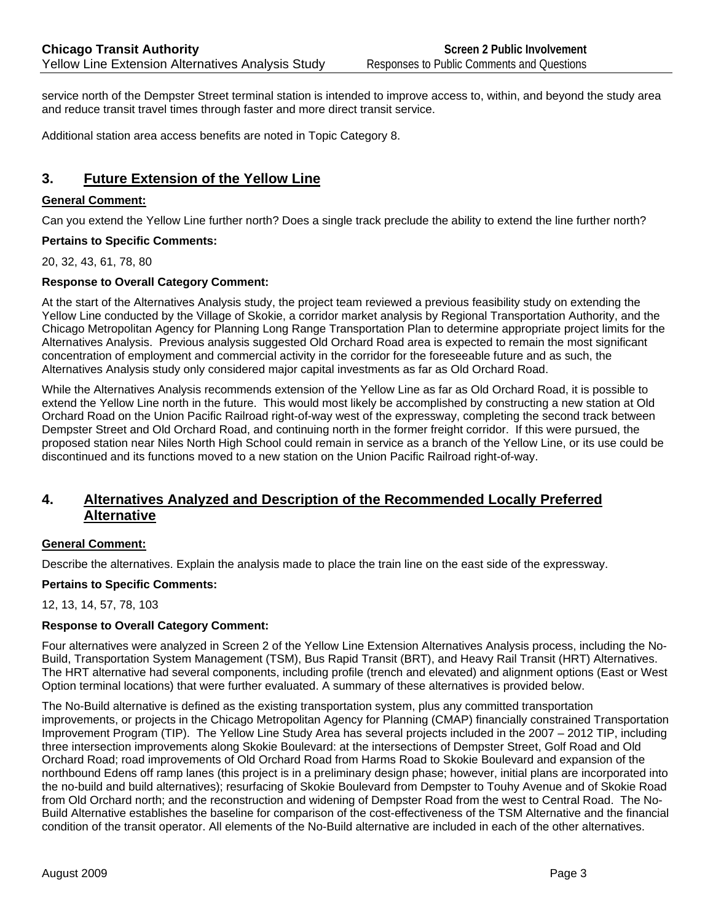service north of the Dempster Street terminal station is intended to improve access to, within, and beyond the study area and reduce transit travel times through faster and more direct transit service.

Additional station area access benefits are noted in Topic Category 8.

# **3. Future Extension of the Yellow Line**

#### **General Comment:**

Can you extend the Yellow Line further north? Does a single track preclude the ability to extend the line further north?

#### **Pertains to Specific Comments:**

20, 32, 43, 61, 78, 80

## **Response to Overall Category Comment:**

At the start of the Alternatives Analysis study, the project team reviewed a previous feasibility study on extending the Yellow Line conducted by the Village of Skokie, a corridor market analysis by Regional Transportation Authority, and the Chicago Metropolitan Agency for Planning Long Range Transportation Plan to determine appropriate project limits for the Alternatives Analysis. Previous analysis suggested Old Orchard Road area is expected to remain the most significant concentration of employment and commercial activity in the corridor for the foreseeable future and as such, the Alternatives Analysis study only considered major capital investments as far as Old Orchard Road.

While the Alternatives Analysis recommends extension of the Yellow Line as far as Old Orchard Road, it is possible to extend the Yellow Line north in the future. This would most likely be accomplished by constructing a new station at Old Orchard Road on the Union Pacific Railroad right-of-way west of the expressway, completing the second track between Dempster Street and Old Orchard Road, and continuing north in the former freight corridor. If this were pursued, the proposed station near Niles North High School could remain in service as a branch of the Yellow Line, or its use could be discontinued and its functions moved to a new station on the Union Pacific Railroad right-of-way.

# **4. Alternatives Analyzed and Description of the Recommended Locally Preferred Alternative**

## **General Comment:**

Describe the alternatives. Explain the analysis made to place the train line on the east side of the expressway.

#### **Pertains to Specific Comments:**

12, 13, 14, 57, 78, 103

#### **Response to Overall Category Comment:**

Four alternatives were analyzed in Screen 2 of the Yellow Line Extension Alternatives Analysis process, including the No-Build, Transportation System Management (TSM), Bus Rapid Transit (BRT), and Heavy Rail Transit (HRT) Alternatives. The HRT alternative had several components, including profile (trench and elevated) and alignment options (East or West Option terminal locations) that were further evaluated. A summary of these alternatives is provided below.

The No-Build alternative is defined as the existing transportation system, plus any committed transportation improvements, or projects in the Chicago Metropolitan Agency for Planning (CMAP) financially constrained Transportation Improvement Program (TIP). The Yellow Line Study Area has several projects included in the 2007 – 2012 TIP, including three intersection improvements along Skokie Boulevard: at the intersections of Dempster Street, Golf Road and Old Orchard Road; road improvements of Old Orchard Road from Harms Road to Skokie Boulevard and expansion of the northbound Edens off ramp lanes (this project is in a preliminary design phase; however, initial plans are incorporated into the no-build and build alternatives); resurfacing of Skokie Boulevard from Dempster to Touhy Avenue and of Skokie Road from Old Orchard north; and the reconstruction and widening of Dempster Road from the west to Central Road. The No-Build Alternative establishes the baseline for comparison of the cost-effectiveness of the TSM Alternative and the financial condition of the transit operator. All elements of the No-Build alternative are included in each of the other alternatives.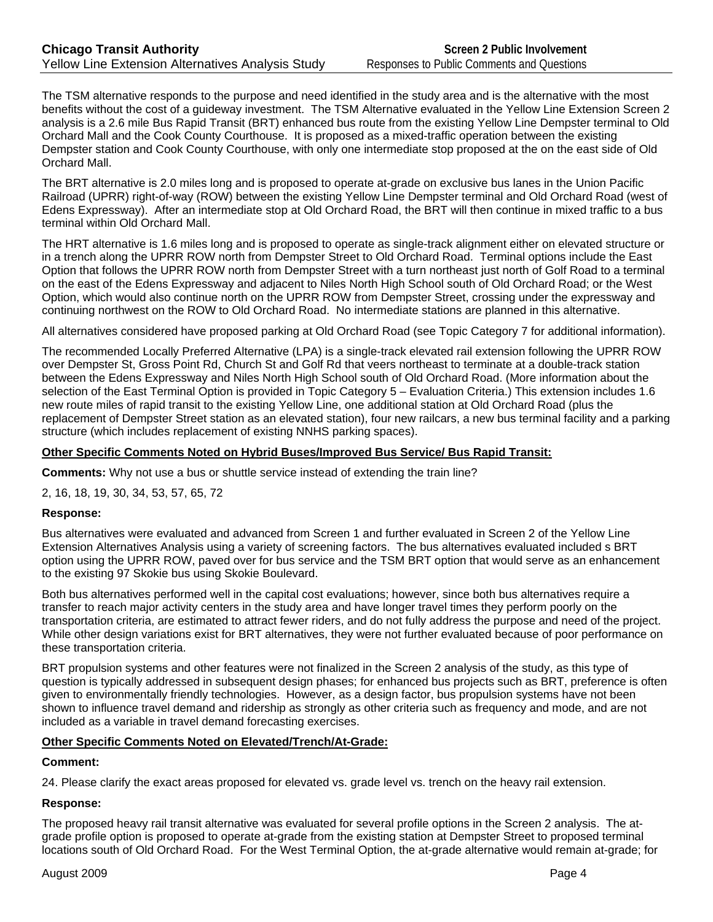The TSM alternative responds to the purpose and need identified in the study area and is the alternative with the most benefits without the cost of a guideway investment. The TSM Alternative evaluated in the Yellow Line Extension Screen 2 analysis is a 2.6 mile Bus Rapid Transit (BRT) enhanced bus route from the existing Yellow Line Dempster terminal to Old Orchard Mall and the Cook County Courthouse. It is proposed as a mixed-traffic operation between the existing Dempster station and Cook County Courthouse, with only one intermediate stop proposed at the on the east side of Old Orchard Mall.

The BRT alternative is 2.0 miles long and is proposed to operate at-grade on exclusive bus lanes in the Union Pacific Railroad (UPRR) right-of-way (ROW) between the existing Yellow Line Dempster terminal and Old Orchard Road (west of Edens Expressway). After an intermediate stop at Old Orchard Road, the BRT will then continue in mixed traffic to a bus terminal within Old Orchard Mall.

The HRT alternative is 1.6 miles long and is proposed to operate as single-track alignment either on elevated structure or in a trench along the UPRR ROW north from Dempster Street to Old Orchard Road. Terminal options include the East Option that follows the UPRR ROW north from Dempster Street with a turn northeast just north of Golf Road to a terminal on the east of the Edens Expressway and adjacent to Niles North High School south of Old Orchard Road; or the West Option, which would also continue north on the UPRR ROW from Dempster Street, crossing under the expressway and continuing northwest on the ROW to Old Orchard Road. No intermediate stations are planned in this alternative.

All alternatives considered have proposed parking at Old Orchard Road (see Topic Category 7 for additional information).

The recommended Locally Preferred Alternative (LPA) is a single-track elevated rail extension following the UPRR ROW over Dempster St, Gross Point Rd, Church St and Golf Rd that veers northeast to terminate at a double-track station between the Edens Expressway and Niles North High School south of Old Orchard Road. (More information about the selection of the East Terminal Option is provided in Topic Category 5 – Evaluation Criteria.) This extension includes 1.6 new route miles of rapid transit to the existing Yellow Line, one additional station at Old Orchard Road (plus the replacement of Dempster Street station as an elevated station), four new railcars, a new bus terminal facility and a parking structure (which includes replacement of existing NNHS parking spaces).

## **Other Specific Comments Noted on Hybrid Buses/Improved Bus Service/ Bus Rapid Transit:**

**Comments:** Why not use a bus or shuttle service instead of extending the train line?

2, 16, 18, 19, 30, 34, 53, 57, 65, 72

#### **Response:**

Bus alternatives were evaluated and advanced from Screen 1 and further evaluated in Screen 2 of the Yellow Line Extension Alternatives Analysis using a variety of screening factors. The bus alternatives evaluated included s BRT option using the UPRR ROW, paved over for bus service and the TSM BRT option that would serve as an enhancement to the existing 97 Skokie bus using Skokie Boulevard.

Both bus alternatives performed well in the capital cost evaluations; however, since both bus alternatives require a transfer to reach major activity centers in the study area and have longer travel times they perform poorly on the transportation criteria, are estimated to attract fewer riders, and do not fully address the purpose and need of the project. While other design variations exist for BRT alternatives, they were not further evaluated because of poor performance on these transportation criteria.

BRT propulsion systems and other features were not finalized in the Screen 2 analysis of the study, as this type of question is typically addressed in subsequent design phases; for enhanced bus projects such as BRT, preference is often given to environmentally friendly technologies. However, as a design factor, bus propulsion systems have not been shown to influence travel demand and ridership as strongly as other criteria such as frequency and mode, and are not included as a variable in travel demand forecasting exercises.

## **Other Specific Comments Noted on Elevated/Trench/At-Grade:**

## **Comment:**

24. Please clarify the exact areas proposed for elevated vs. grade level vs. trench on the heavy rail extension.

## **Response:**

The proposed heavy rail transit alternative was evaluated for several profile options in the Screen 2 analysis. The atgrade profile option is proposed to operate at-grade from the existing station at Dempster Street to proposed terminal locations south of Old Orchard Road. For the West Terminal Option, the at-grade alternative would remain at-grade; for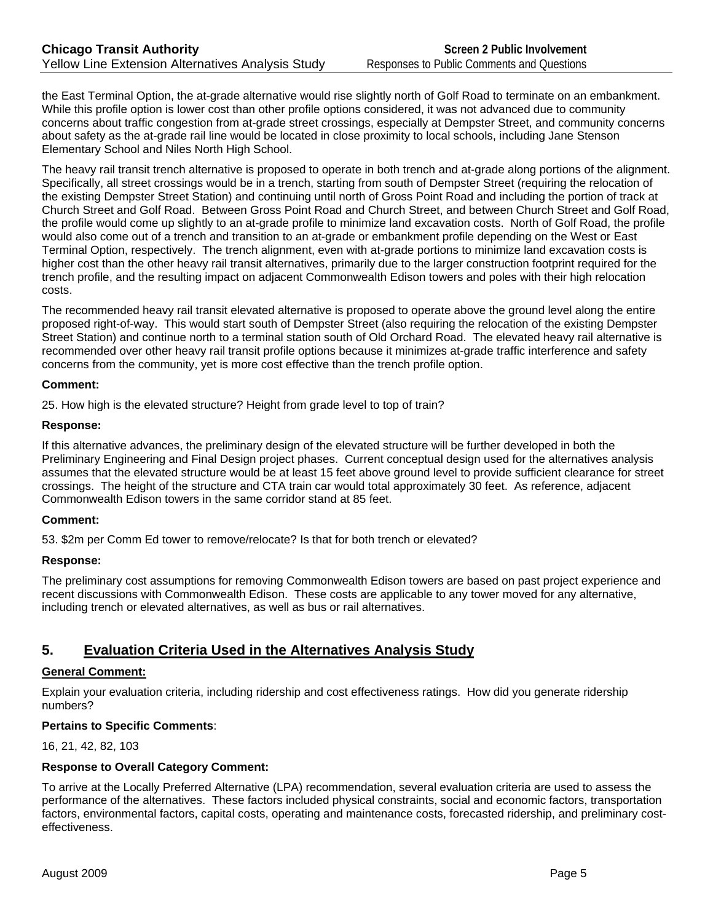the East Terminal Option, the at-grade alternative would rise slightly north of Golf Road to terminate on an embankment. While this profile option is lower cost than other profile options considered, it was not advanced due to community concerns about traffic congestion from at-grade street crossings, especially at Dempster Street, and community concerns about safety as the at-grade rail line would be located in close proximity to local schools, including Jane Stenson Elementary School and Niles North High School.

The heavy rail transit trench alternative is proposed to operate in both trench and at-grade along portions of the alignment. Specifically, all street crossings would be in a trench, starting from south of Dempster Street (requiring the relocation of the existing Dempster Street Station) and continuing until north of Gross Point Road and including the portion of track at Church Street and Golf Road. Between Gross Point Road and Church Street, and between Church Street and Golf Road, the profile would come up slightly to an at-grade profile to minimize land excavation costs. North of Golf Road, the profile would also come out of a trench and transition to an at-grade or embankment profile depending on the West or East Terminal Option, respectively. The trench alignment, even with at-grade portions to minimize land excavation costs is higher cost than the other heavy rail transit alternatives, primarily due to the larger construction footprint required for the trench profile, and the resulting impact on adjacent Commonwealth Edison towers and poles with their high relocation costs.

The recommended heavy rail transit elevated alternative is proposed to operate above the ground level along the entire proposed right-of-way. This would start south of Dempster Street (also requiring the relocation of the existing Dempster Street Station) and continue north to a terminal station south of Old Orchard Road. The elevated heavy rail alternative is recommended over other heavy rail transit profile options because it minimizes at-grade traffic interference and safety concerns from the community, yet is more cost effective than the trench profile option.

#### **Comment:**

25. How high is the elevated structure? Height from grade level to top of train?

#### **Response:**

If this alternative advances, the preliminary design of the elevated structure will be further developed in both the Preliminary Engineering and Final Design project phases. Current conceptual design used for the alternatives analysis assumes that the elevated structure would be at least 15 feet above ground level to provide sufficient clearance for street crossings. The height of the structure and CTA train car would total approximately 30 feet. As reference, adjacent Commonwealth Edison towers in the same corridor stand at 85 feet.

#### **Comment:**

53. \$2m per Comm Ed tower to remove/relocate? Is that for both trench or elevated?

#### **Response:**

The preliminary cost assumptions for removing Commonwealth Edison towers are based on past project experience and recent discussions with Commonwealth Edison. These costs are applicable to any tower moved for any alternative, including trench or elevated alternatives, as well as bus or rail alternatives.

# **5. Evaluation Criteria Used in the Alternatives Analysis Study**

## **General Comment:**

Explain your evaluation criteria, including ridership and cost effectiveness ratings. How did you generate ridership numbers?

## **Pertains to Specific Comments**:

16, 21, 42, 82, 103

#### **Response to Overall Category Comment:**

To arrive at the Locally Preferred Alternative (LPA) recommendation, several evaluation criteria are used to assess the performance of the alternatives. These factors included physical constraints, social and economic factors, transportation factors, environmental factors, capital costs, operating and maintenance costs, forecasted ridership, and preliminary costeffectiveness.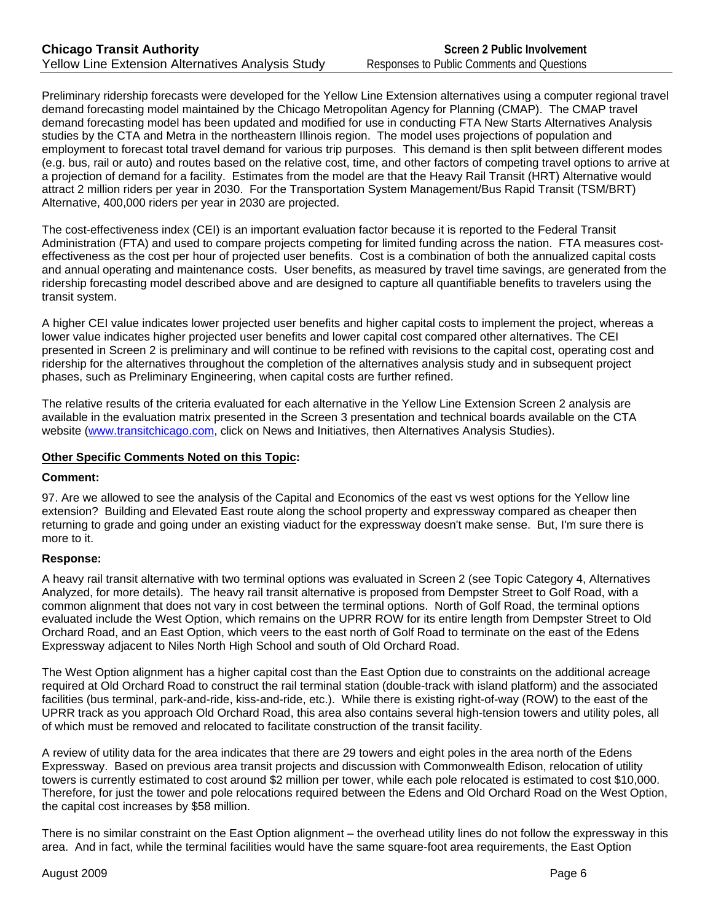Preliminary ridership forecasts were developed for the Yellow Line Extension alternatives using a computer regional travel demand forecasting model maintained by the Chicago Metropolitan Agency for Planning (CMAP). The CMAP travel demand forecasting model has been updated and modified for use in conducting FTA New Starts Alternatives Analysis studies by the CTA and Metra in the northeastern Illinois region. The model uses projections of population and employment to forecast total travel demand for various trip purposes. This demand is then split between different modes (e.g. bus, rail or auto) and routes based on the relative cost, time, and other factors of competing travel options to arrive at a projection of demand for a facility. Estimates from the model are that the Heavy Rail Transit (HRT) Alternative would attract 2 million riders per year in 2030. For the Transportation System Management/Bus Rapid Transit (TSM/BRT) Alternative, 400,000 riders per year in 2030 are projected.

The cost-effectiveness index (CEI) is an important evaluation factor because it is reported to the Federal Transit Administration (FTA) and used to compare projects competing for limited funding across the nation. FTA measures costeffectiveness as the cost per hour of projected user benefits. Cost is a combination of both the annualized capital costs and annual operating and maintenance costs. User benefits, as measured by travel time savings, are generated from the ridership forecasting model described above and are designed to capture all quantifiable benefits to travelers using the transit system.

A higher CEI value indicates lower projected user benefits and higher capital costs to implement the project, whereas a lower value indicates higher projected user benefits and lower capital cost compared other alternatives. The CEI presented in Screen 2 is preliminary and will continue to be refined with revisions to the capital cost, operating cost and ridership for the alternatives throughout the completion of the alternatives analysis study and in subsequent project phases, such as Preliminary Engineering, when capital costs are further refined.

The relative results of the criteria evaluated for each alternative in the Yellow Line Extension Screen 2 analysis are available in the evaluation matrix presented in the Screen 3 presentation and technical boards available on the CTA website (www.transitchicago.com, click on News and Initiatives, then Alternatives Analysis Studies).

#### **Other Specific Comments Noted on this Topic:**

#### **Comment:**

97. Are we allowed to see the analysis of the Capital and Economics of the east vs west options for the Yellow line extension? Building and Elevated East route along the school property and expressway compared as cheaper then returning to grade and going under an existing viaduct for the expressway doesn't make sense. But, I'm sure there is more to it.

## **Response:**

A heavy rail transit alternative with two terminal options was evaluated in Screen 2 (see Topic Category 4, Alternatives Analyzed, for more details). The heavy rail transit alternative is proposed from Dempster Street to Golf Road, with a common alignment that does not vary in cost between the terminal options. North of Golf Road, the terminal options evaluated include the West Option, which remains on the UPRR ROW for its entire length from Dempster Street to Old Orchard Road, and an East Option, which veers to the east north of Golf Road to terminate on the east of the Edens Expressway adjacent to Niles North High School and south of Old Orchard Road.

The West Option alignment has a higher capital cost than the East Option due to constraints on the additional acreage required at Old Orchard Road to construct the rail terminal station (double-track with island platform) and the associated facilities (bus terminal, park-and-ride, kiss-and-ride, etc.). While there is existing right-of-way (ROW) to the east of the UPRR track as you approach Old Orchard Road, this area also contains several high-tension towers and utility poles, all of which must be removed and relocated to facilitate construction of the transit facility.

A review of utility data for the area indicates that there are 29 towers and eight poles in the area north of the Edens Expressway. Based on previous area transit projects and discussion with Commonwealth Edison, relocation of utility towers is currently estimated to cost around \$2 million per tower, while each pole relocated is estimated to cost \$10,000. Therefore, for just the tower and pole relocations required between the Edens and Old Orchard Road on the West Option, the capital cost increases by \$58 million.

There is no similar constraint on the East Option alignment – the overhead utility lines do not follow the expressway in this area. And in fact, while the terminal facilities would have the same square-foot area requirements, the East Option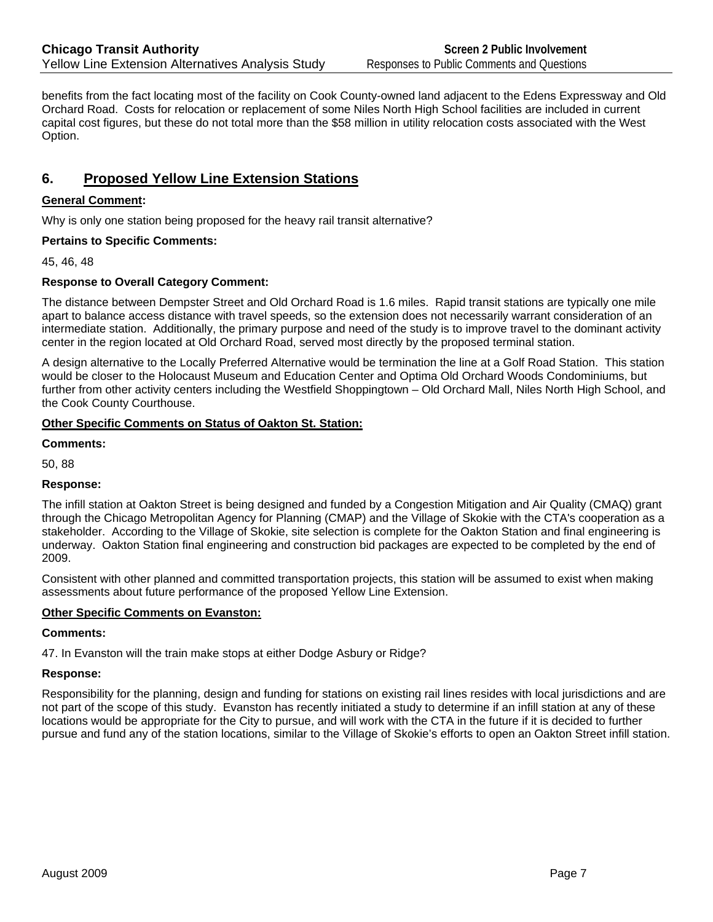benefits from the fact locating most of the facility on Cook County-owned land adjacent to the Edens Expressway and Old Orchard Road. Costs for relocation or replacement of some Niles North High School facilities are included in current capital cost figures, but these do not total more than the \$58 million in utility relocation costs associated with the West Option.

# **6. Proposed Yellow Line Extension Stations**

## **General Comment:**

Why is only one station being proposed for the heavy rail transit alternative?

## **Pertains to Specific Comments:**

45, 46, 48

# **Response to Overall Category Comment:**

The distance between Dempster Street and Old Orchard Road is 1.6 miles. Rapid transit stations are typically one mile apart to balance access distance with travel speeds, so the extension does not necessarily warrant consideration of an intermediate station. Additionally, the primary purpose and need of the study is to improve travel to the dominant activity center in the region located at Old Orchard Road, served most directly by the proposed terminal station.

A design alternative to the Locally Preferred Alternative would be termination the line at a Golf Road Station. This station would be closer to the Holocaust Museum and Education Center and Optima Old Orchard Woods Condominiums, but further from other activity centers including the Westfield Shoppingtown – Old Orchard Mall, Niles North High School, and the Cook County Courthouse.

## **Other Specific Comments on Status of Oakton St. Station:**

## **Comments:**

50, 88

## **Response:**

The infill station at Oakton Street is being designed and funded by a Congestion Mitigation and Air Quality (CMAQ) grant through the Chicago Metropolitan Agency for Planning (CMAP) and the Village of Skokie with the CTA's cooperation as a stakeholder. According to the Village of Skokie, site selection is complete for the Oakton Station and final engineering is underway. Oakton Station final engineering and construction bid packages are expected to be completed by the end of 2009.

Consistent with other planned and committed transportation projects, this station will be assumed to exist when making assessments about future performance of the proposed Yellow Line Extension.

## **Other Specific Comments on Evanston:**

## **Comments:**

47. In Evanston will the train make stops at either Dodge Asbury or Ridge?

## **Response:**

Responsibility for the planning, design and funding for stations on existing rail lines resides with local jurisdictions and are not part of the scope of this study. Evanston has recently initiated a study to determine if an infill station at any of these locations would be appropriate for the City to pursue, and will work with the CTA in the future if it is decided to further pursue and fund any of the station locations, similar to the Village of Skokie's efforts to open an Oakton Street infill station.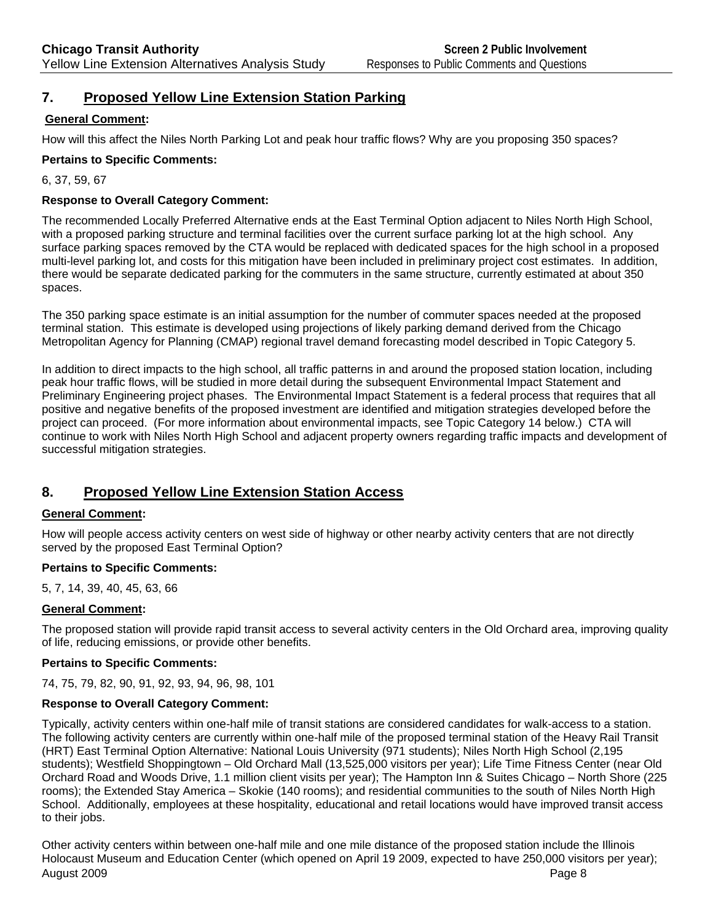# **7. Proposed Yellow Line Extension Station Parking**

## **General Comment:**

How will this affect the Niles North Parking Lot and peak hour traffic flows? Why are you proposing 350 spaces?

## **Pertains to Specific Comments:**

6, 37, 59, 67

## **Response to Overall Category Comment:**

The recommended Locally Preferred Alternative ends at the East Terminal Option adjacent to Niles North High School, with a proposed parking structure and terminal facilities over the current surface parking lot at the high school. Any surface parking spaces removed by the CTA would be replaced with dedicated spaces for the high school in a proposed multi-level parking lot, and costs for this mitigation have been included in preliminary project cost estimates. In addition, there would be separate dedicated parking for the commuters in the same structure, currently estimated at about 350 spaces.

The 350 parking space estimate is an initial assumption for the number of commuter spaces needed at the proposed terminal station. This estimate is developed using projections of likely parking demand derived from the Chicago Metropolitan Agency for Planning (CMAP) regional travel demand forecasting model described in Topic Category 5.

In addition to direct impacts to the high school, all traffic patterns in and around the proposed station location, including peak hour traffic flows, will be studied in more detail during the subsequent Environmental Impact Statement and Preliminary Engineering project phases. The Environmental Impact Statement is a federal process that requires that all positive and negative benefits of the proposed investment are identified and mitigation strategies developed before the project can proceed. (For more information about environmental impacts, see Topic Category 14 below.) CTA will continue to work with Niles North High School and adjacent property owners regarding traffic impacts and development of successful mitigation strategies.

# **8. Proposed Yellow Line Extension Station Access**

## **General Comment:**

How will people access activity centers on west side of highway or other nearby activity centers that are not directly served by the proposed East Terminal Option?

## **Pertains to Specific Comments:**

5, 7, 14, 39, 40, 45, 63, 66

## **General Comment:**

The proposed station will provide rapid transit access to several activity centers in the Old Orchard area, improving quality of life, reducing emissions, or provide other benefits.

## **Pertains to Specific Comments:**

74, 75, 79, 82, 90, 91, 92, 93, 94, 96, 98, 101

## **Response to Overall Category Comment:**

Typically, activity centers within one-half mile of transit stations are considered candidates for walk-access to a station. The following activity centers are currently within one-half mile of the proposed terminal station of the Heavy Rail Transit (HRT) East Terminal Option Alternative: National Louis University (971 students); Niles North High School (2,195 students); Westfield Shoppingtown – Old Orchard Mall (13,525,000 visitors per year); Life Time Fitness Center (near Old Orchard Road and Woods Drive, 1.1 million client visits per year); The Hampton Inn & Suites Chicago – North Shore (225 rooms); the Extended Stay America – Skokie (140 rooms); and residential communities to the south of Niles North High School. Additionally, employees at these hospitality, educational and retail locations would have improved transit access to their jobs.

August 2009 Page 8 | Page 8 | Page 8 | Page 8 | Page 8 | Page 8 | Page 8 | Page 8 | Page 8 | Page 8 | Page 8 | Other activity centers within between one-half mile and one mile distance of the proposed station include the Illinois Holocaust Museum and Education Center (which opened on April 19 2009, expected to have 250,000 visitors per year);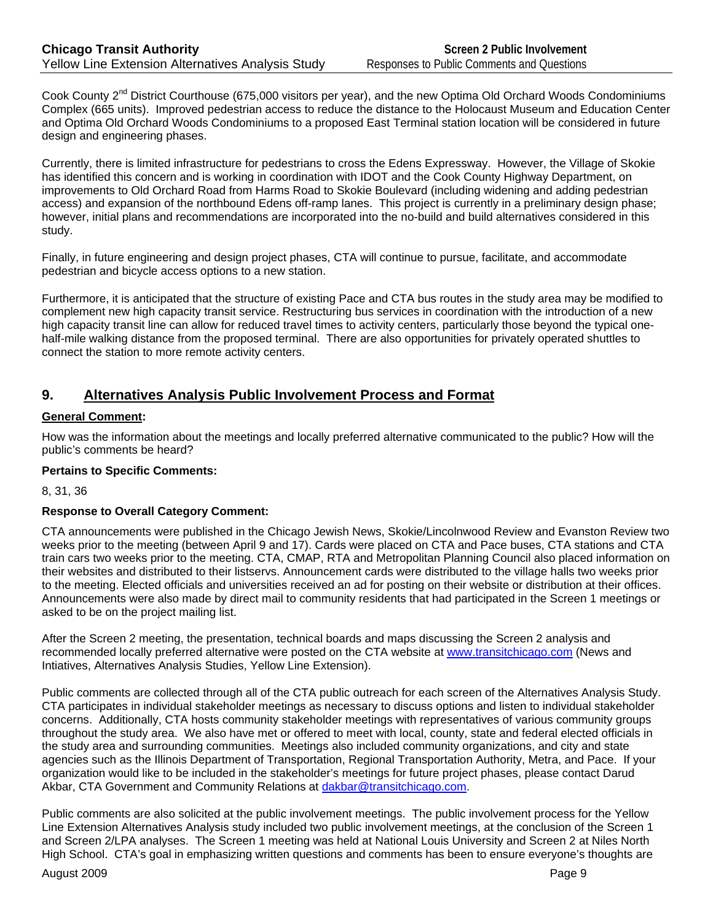Cook County  $2^{nd}$  District Courthouse (675,000 visitors per year), and the new Optima Old Orchard Woods Condominiums Complex (665 units). Improved pedestrian access to reduce the distance to the Holocaust Museum and Education Center and Optima Old Orchard Woods Condominiums to a proposed East Terminal station location will be considered in future design and engineering phases.

Currently, there is limited infrastructure for pedestrians to cross the Edens Expressway. However, the Village of Skokie has identified this concern and is working in coordination with IDOT and the Cook County Highway Department, on improvements to Old Orchard Road from Harms Road to Skokie Boulevard (including widening and adding pedestrian access) and expansion of the northbound Edens off-ramp lanes. This project is currently in a preliminary design phase; however, initial plans and recommendations are incorporated into the no-build and build alternatives considered in this study.

Finally, in future engineering and design project phases, CTA will continue to pursue, facilitate, and accommodate pedestrian and bicycle access options to a new station.

Furthermore, it is anticipated that the structure of existing Pace and CTA bus routes in the study area may be modified to complement new high capacity transit service. Restructuring bus services in coordination with the introduction of a new high capacity transit line can allow for reduced travel times to activity centers, particularly those beyond the typical onehalf-mile walking distance from the proposed terminal. There are also opportunities for privately operated shuttles to connect the station to more remote activity centers.

# **9. Alternatives Analysis Public Involvement Process and Format**

## **General Comment:**

How was the information about the meetings and locally preferred alternative communicated to the public? How will the public's comments be heard?

## **Pertains to Specific Comments:**

8, 31, 36

## **Response to Overall Category Comment:**

CTA announcements were published in the Chicago Jewish News, Skokie/Lincolnwood Review and Evanston Review two weeks prior to the meeting (between April 9 and 17). Cards were placed on CTA and Pace buses, CTA stations and CTA train cars two weeks prior to the meeting. CTA, CMAP, RTA and Metropolitan Planning Council also placed information on their websites and distributed to their listservs. Announcement cards were distributed to the village halls two weeks prior to the meeting. Elected officials and universities received an ad for posting on their website or distribution at their offices. Announcements were also made by direct mail to community residents that had participated in the Screen 1 meetings or asked to be on the project mailing list.

After the Screen 2 meeting, the presentation, technical boards and maps discussing the Screen 2 analysis and recommended locally preferred alternative were posted on the CTA website at www.transitchicago.com (News and Intiatives, Alternatives Analysis Studies, Yellow Line Extension).

Public comments are collected through all of the CTA public outreach for each screen of the Alternatives Analysis Study. CTA participates in individual stakeholder meetings as necessary to discuss options and listen to individual stakeholder concerns. Additionally, CTA hosts community stakeholder meetings with representatives of various community groups throughout the study area. We also have met or offered to meet with local, county, state and federal elected officials in the study area and surrounding communities. Meetings also included community organizations, and city and state agencies such as the Illinois Department of Transportation, Regional Transportation Authority, Metra, and Pace. If your organization would like to be included in the stakeholder's meetings for future project phases, please contact Darud Akbar, CTA Government and Community Relations at dakbar@transitchicago.com.

Public comments are also solicited at the public involvement meetings. The public involvement process for the Yellow Line Extension Alternatives Analysis study included two public involvement meetings, at the conclusion of the Screen 1 and Screen 2/LPA analyses. The Screen 1 meeting was held at National Louis University and Screen 2 at Niles North High School. CTA's goal in emphasizing written questions and comments has been to ensure everyone's thoughts are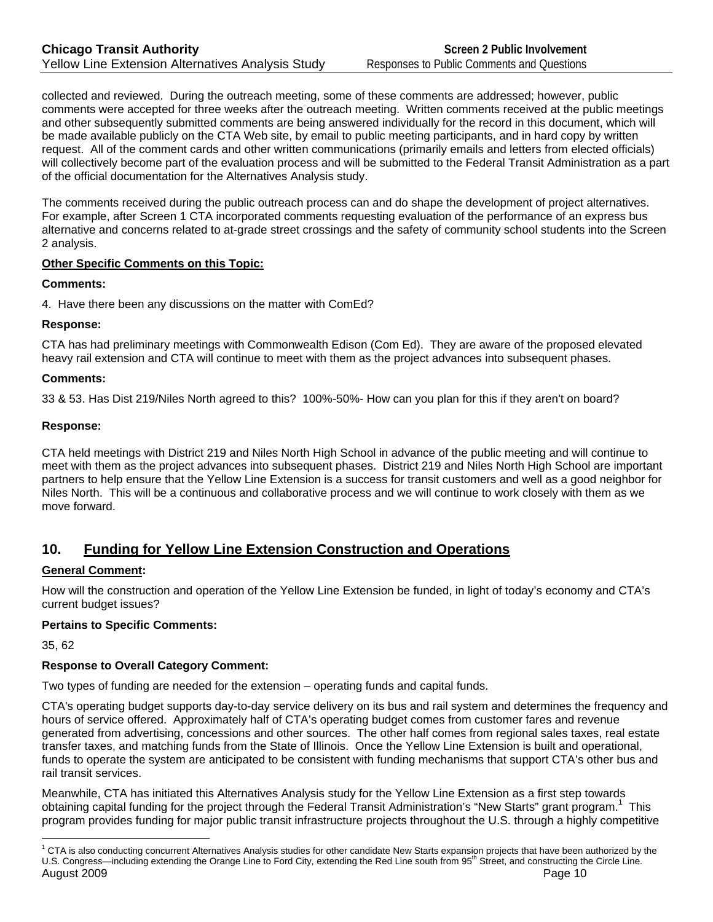collected and reviewed. During the outreach meeting, some of these comments are addressed; however, public comments were accepted for three weeks after the outreach meeting. Written comments received at the public meetings and other subsequently submitted comments are being answered individually for the record in this document, which will be made available publicly on the CTA Web site, by email to public meeting participants, and in hard copy by written request. All of the comment cards and other written communications (primarily emails and letters from elected officials) will collectively become part of the evaluation process and will be submitted to the Federal Transit Administration as a part of the official documentation for the Alternatives Analysis study.

The comments received during the public outreach process can and do shape the development of project alternatives. For example, after Screen 1 CTA incorporated comments requesting evaluation of the performance of an express bus alternative and concerns related to at-grade street crossings and the safety of community school students into the Screen 2 analysis.

## **Other Specific Comments on this Topic:**

#### **Comments:**

4. Have there been any discussions on the matter with ComEd?

## **Response:**

CTA has had preliminary meetings with Commonwealth Edison (Com Ed). They are aware of the proposed elevated heavy rail extension and CTA will continue to meet with them as the project advances into subsequent phases.

## **Comments:**

33 & 53. Has Dist 219/Niles North agreed to this? 100%-50%- How can you plan for this if they aren't on board?

#### **Response:**

CTA held meetings with District 219 and Niles North High School in advance of the public meeting and will continue to meet with them as the project advances into subsequent phases. District 219 and Niles North High School are important partners to help ensure that the Yellow Line Extension is a success for transit customers and well as a good neighbor for Niles North. This will be a continuous and collaborative process and we will continue to work closely with them as we move forward.

# **10. Funding for Yellow Line Extension Construction and Operations**

## **General Comment:**

How will the construction and operation of the Yellow Line Extension be funded, in light of today's economy and CTA's current budget issues?

## **Pertains to Specific Comments:**

35, 62

 $\overline{a}$ 

## **Response to Overall Category Comment:**

Two types of funding are needed for the extension – operating funds and capital funds.

CTA's operating budget supports day-to-day service delivery on its bus and rail system and determines the frequency and hours of service offered. Approximately half of CTA's operating budget comes from customer fares and revenue generated from advertising, concessions and other sources. The other half comes from regional sales taxes, real estate transfer taxes, and matching funds from the State of Illinois. Once the Yellow Line Extension is built and operational, funds to operate the system are anticipated to be consistent with funding mechanisms that support CTA's other bus and rail transit services.

Meanwhile, CTA has initiated this Alternatives Analysis study for the Yellow Line Extension as a first step towards obtaining capital funding for the project through the Federal Transit Administration's "New Starts" grant program.<sup>1</sup> This program provides funding for major public transit infrastructure projects throughout the U.S. through a highly competitive

August 2009 **Page 10**  $1$  CTA is also conducting concurrent Alternatives Analysis studies for other candidate New Starts expansion projects that have been authorized by the U.S. Congress—including extending the Orange Line to Ford City, extending the Red Line south from 95<sup>th</sup> Street, and constructing the Circle Line.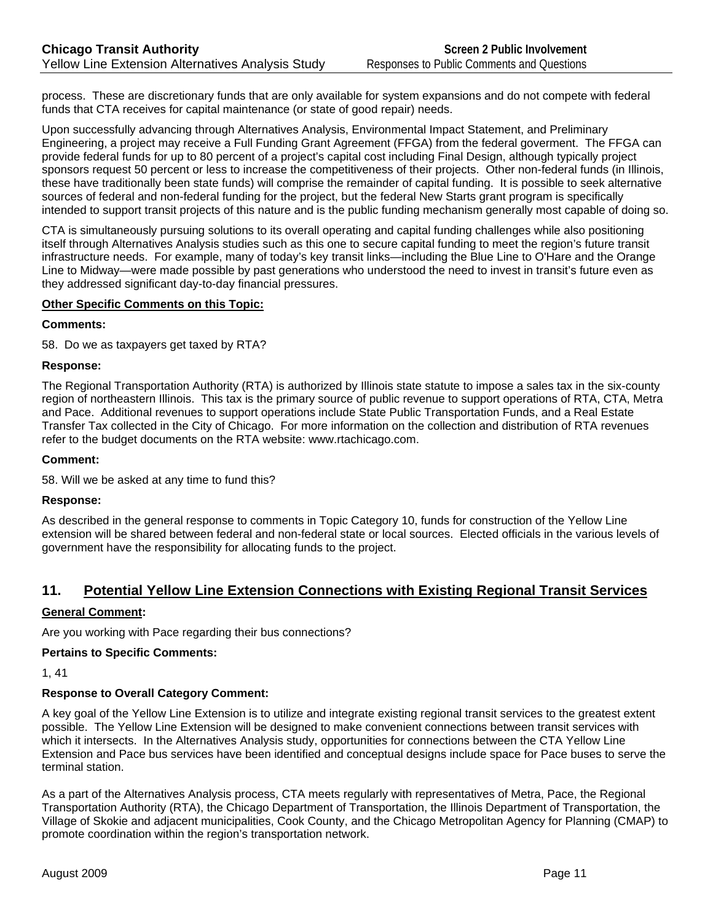process. These are discretionary funds that are only available for system expansions and do not compete with federal funds that CTA receives for capital maintenance (or state of good repair) needs.

Upon successfully advancing through Alternatives Analysis, Environmental Impact Statement, and Preliminary Engineering, a project may receive a Full Funding Grant Agreement (FFGA) from the federal goverment. The FFGA can provide federal funds for up to 80 percent of a project's capital cost including Final Design, although typically project sponsors request 50 percent or less to increase the competitiveness of their projects. Other non-federal funds (in Illinois, these have traditionally been state funds) will comprise the remainder of capital funding. It is possible to seek alternative sources of federal and non-federal funding for the project, but the federal New Starts grant program is specifically intended to support transit projects of this nature and is the public funding mechanism generally most capable of doing so.

CTA is simultaneously pursuing solutions to its overall operating and capital funding challenges while also positioning itself through Alternatives Analysis studies such as this one to secure capital funding to meet the region's future transit infrastructure needs. For example, many of today's key transit links—including the Blue Line to O'Hare and the Orange Line to Midway—were made possible by past generations who understood the need to invest in transit's future even as they addressed significant day-to-day financial pressures.

## **Other Specific Comments on this Topic:**

#### **Comments:**

58. Do we as taxpayers get taxed by RTA?

#### **Response:**

The Regional Transportation Authority (RTA) is authorized by Illinois state statute to impose a sales tax in the six-county region of northeastern Illinois. This tax is the primary source of public revenue to support operations of RTA, CTA, Metra and Pace. Additional revenues to support operations include State Public Transportation Funds, and a Real Estate Transfer Tax collected in the City of Chicago. For more information on the collection and distribution of RTA revenues refer to the budget documents on the RTA website: www.rtachicago.com.

#### **Comment:**

58. Will we be asked at any time to fund this?

#### **Response:**

As described in the general response to comments in Topic Category 10, funds for construction of the Yellow Line extension will be shared between federal and non-federal state or local sources. Elected officials in the various levels of government have the responsibility for allocating funds to the project.

# **11. Potential Yellow Line Extension Connections with Existing Regional Transit Services**

#### **General Comment:**

Are you working with Pace regarding their bus connections?

#### **Pertains to Specific Comments:**

1, 41

#### **Response to Overall Category Comment:**

A key goal of the Yellow Line Extension is to utilize and integrate existing regional transit services to the greatest extent possible. The Yellow Line Extension will be designed to make convenient connections between transit services with which it intersects. In the Alternatives Analysis study, opportunities for connections between the CTA Yellow Line Extension and Pace bus services have been identified and conceptual designs include space for Pace buses to serve the terminal station.

As a part of the Alternatives Analysis process, CTA meets regularly with representatives of Metra, Pace, the Regional Transportation Authority (RTA), the Chicago Department of Transportation, the Illinois Department of Transportation, the Village of Skokie and adjacent municipalities, Cook County, and the Chicago Metropolitan Agency for Planning (CMAP) to promote coordination within the region's transportation network.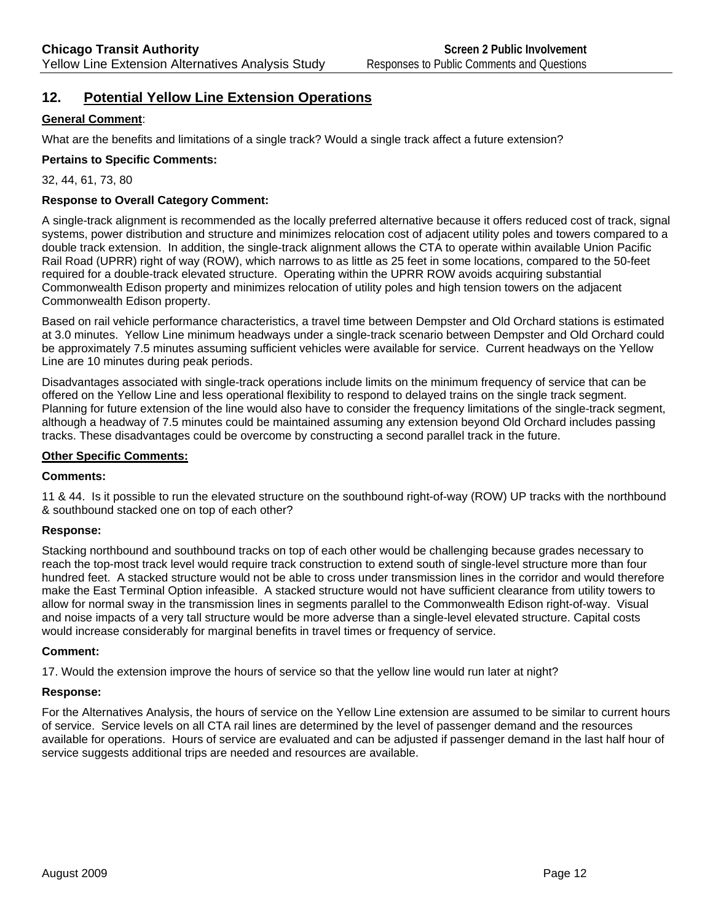# **12. Potential Yellow Line Extension Operations**

#### **General Comment**:

What are the benefits and limitations of a single track? Would a single track affect a future extension?

#### **Pertains to Specific Comments:**

32, 44, 61, 73, 80

#### **Response to Overall Category Comment:**

A single-track alignment is recommended as the locally preferred alternative because it offers reduced cost of track, signal systems, power distribution and structure and minimizes relocation cost of adjacent utility poles and towers compared to a double track extension. In addition, the single-track alignment allows the CTA to operate within available Union Pacific Rail Road (UPRR) right of way (ROW), which narrows to as little as 25 feet in some locations, compared to the 50-feet required for a double-track elevated structure. Operating within the UPRR ROW avoids acquiring substantial Commonwealth Edison property and minimizes relocation of utility poles and high tension towers on the adjacent Commonwealth Edison property.

Based on rail vehicle performance characteristics, a travel time between Dempster and Old Orchard stations is estimated at 3.0 minutes. Yellow Line minimum headways under a single-track scenario between Dempster and Old Orchard could be approximately 7.5 minutes assuming sufficient vehicles were available for service. Current headways on the Yellow Line are 10 minutes during peak periods.

Disadvantages associated with single-track operations include limits on the minimum frequency of service that can be offered on the Yellow Line and less operational flexibility to respond to delayed trains on the single track segment. Planning for future extension of the line would also have to consider the frequency limitations of the single-track segment, although a headway of 7.5 minutes could be maintained assuming any extension beyond Old Orchard includes passing tracks. These disadvantages could be overcome by constructing a second parallel track in the future.

#### **Other Specific Comments:**

#### **Comments:**

11 & 44. Is it possible to run the elevated structure on the southbound right-of-way (ROW) UP tracks with the northbound & southbound stacked one on top of each other?

#### **Response:**

Stacking northbound and southbound tracks on top of each other would be challenging because grades necessary to reach the top-most track level would require track construction to extend south of single-level structure more than four hundred feet. A stacked structure would not be able to cross under transmission lines in the corridor and would therefore make the East Terminal Option infeasible. A stacked structure would not have sufficient clearance from utility towers to allow for normal sway in the transmission lines in segments parallel to the Commonwealth Edison right-of-way. Visual and noise impacts of a very tall structure would be more adverse than a single-level elevated structure. Capital costs would increase considerably for marginal benefits in travel times or frequency of service.

#### **Comment:**

17. Would the extension improve the hours of service so that the yellow line would run later at night?

#### **Response:**

For the Alternatives Analysis, the hours of service on the Yellow Line extension are assumed to be similar to current hours of service. Service levels on all CTA rail lines are determined by the level of passenger demand and the resources available for operations. Hours of service are evaluated and can be adjusted if passenger demand in the last half hour of service suggests additional trips are needed and resources are available.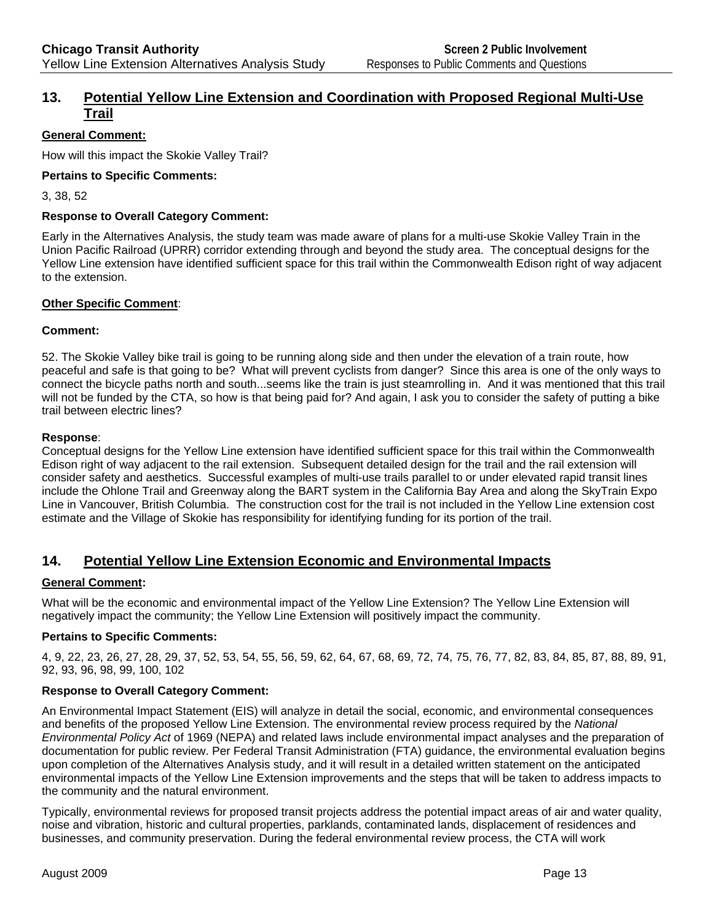# **13. Potential Yellow Line Extension and Coordination with Proposed Regional Multi-Use Trail**

## **General Comment:**

How will this impact the Skokie Valley Trail?

#### **Pertains to Specific Comments:**

3, 38, 52

#### **Response to Overall Category Comment:**

Early in the Alternatives Analysis, the study team was made aware of plans for a multi-use Skokie Valley Train in the Union Pacific Railroad (UPRR) corridor extending through and beyond the study area. The conceptual designs for the Yellow Line extension have identified sufficient space for this trail within the Commonwealth Edison right of way adjacent to the extension.

#### **Other Specific Comment**:

#### **Comment:**

52. The Skokie Valley bike trail is going to be running along side and then under the elevation of a train route, how peaceful and safe is that going to be? What will prevent cyclists from danger? Since this area is one of the only ways to connect the bicycle paths north and south...seems like the train is just steamrolling in. And it was mentioned that this trail will not be funded by the CTA, so how is that being paid for? And again, I ask you to consider the safety of putting a bike trail between electric lines?

#### **Response**:

Conceptual designs for the Yellow Line extension have identified sufficient space for this trail within the Commonwealth Edison right of way adjacent to the rail extension. Subsequent detailed design for the trail and the rail extension will consider safety and aesthetics. Successful examples of multi-use trails parallel to or under elevated rapid transit lines include the Ohlone Trail and Greenway along the BART system in the California Bay Area and along the SkyTrain Expo Line in Vancouver, British Columbia. The construction cost for the trail is not included in the Yellow Line extension cost estimate and the Village of Skokie has responsibility for identifying funding for its portion of the trail.

# **14. Potential Yellow Line Extension Economic and Environmental Impacts**

## **General Comment:**

What will be the economic and environmental impact of the Yellow Line Extension? The Yellow Line Extension will negatively impact the community; the Yellow Line Extension will positively impact the community.

## **Pertains to Specific Comments:**

4, 9, 22, 23, 26, 27, 28, 29, 37, 52, 53, 54, 55, 56, 59, 62, 64, 67, 68, 69, 72, 74, 75, 76, 77, 82, 83, 84, 85, 87, 88, 89, 91, 92, 93, 96, 98, 99, 100, 102

## **Response to Overall Category Comment:**

An Environmental Impact Statement (EIS) will analyze in detail the social, economic, and environmental consequences and benefits of the proposed Yellow Line Extension. The environmental review process required by the *National Environmental Policy Act* of 1969 (NEPA) and related laws include environmental impact analyses and the preparation of documentation for public review. Per Federal Transit Administration (FTA) guidance, the environmental evaluation begins upon completion of the Alternatives Analysis study, and it will result in a detailed written statement on the anticipated environmental impacts of the Yellow Line Extension improvements and the steps that will be taken to address impacts to the community and the natural environment.

Typically, environmental reviews for proposed transit projects address the potential impact areas of air and water quality, noise and vibration, historic and cultural properties, parklands, contaminated lands, displacement of residences and businesses, and community preservation. During the federal environmental review process, the CTA will work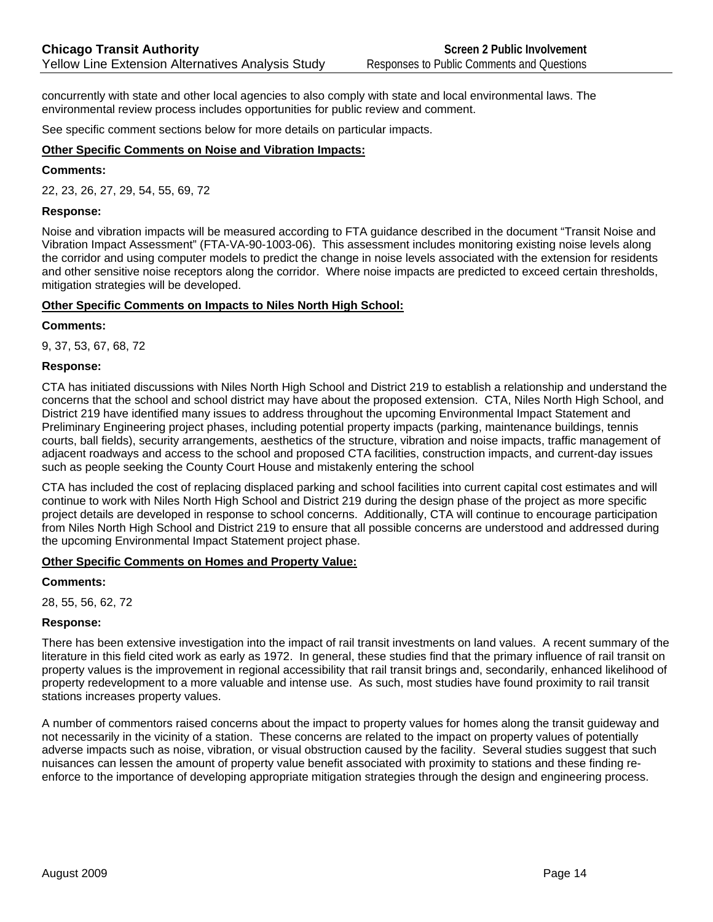concurrently with state and other local agencies to also comply with state and local environmental laws. The environmental review process includes opportunities for public review and comment.

See specific comment sections below for more details on particular impacts.

#### **Other Specific Comments on Noise and Vibration Impacts:**

#### **Comments:**

22, 23, 26, 27, 29, 54, 55, 69, 72

#### **Response:**

Noise and vibration impacts will be measured according to FTA guidance described in the document "Transit Noise and Vibration Impact Assessment" (FTA-VA-90-1003-06). This assessment includes monitoring existing noise levels along the corridor and using computer models to predict the change in noise levels associated with the extension for residents and other sensitive noise receptors along the corridor. Where noise impacts are predicted to exceed certain thresholds, mitigation strategies will be developed.

#### **Other Specific Comments on Impacts to Niles North High School:**

#### **Comments:**

9, 37, 53, 67, 68, 72

#### **Response:**

CTA has initiated discussions with Niles North High School and District 219 to establish a relationship and understand the concerns that the school and school district may have about the proposed extension. CTA, Niles North High School, and District 219 have identified many issues to address throughout the upcoming Environmental Impact Statement and Preliminary Engineering project phases, including potential property impacts (parking, maintenance buildings, tennis courts, ball fields), security arrangements, aesthetics of the structure, vibration and noise impacts, traffic management of adjacent roadways and access to the school and proposed CTA facilities, construction impacts, and current-day issues such as people seeking the County Court House and mistakenly entering the school

CTA has included the cost of replacing displaced parking and school facilities into current capital cost estimates and will continue to work with Niles North High School and District 219 during the design phase of the project as more specific project details are developed in response to school concerns. Additionally, CTA will continue to encourage participation from Niles North High School and District 219 to ensure that all possible concerns are understood and addressed during the upcoming Environmental Impact Statement project phase.

#### **Other Specific Comments on Homes and Property Value:**

#### **Comments:**

28, 55, 56, 62, 72

#### **Response:**

There has been extensive investigation into the impact of rail transit investments on land values. A recent summary of the literature in this field cited work as early as 1972. In general, these studies find that the primary influence of rail transit on property values is the improvement in regional accessibility that rail transit brings and, secondarily, enhanced likelihood of property redevelopment to a more valuable and intense use. As such, most studies have found proximity to rail transit stations increases property values.

A number of commentors raised concerns about the impact to property values for homes along the transit guideway and not necessarily in the vicinity of a station. These concerns are related to the impact on property values of potentially adverse impacts such as noise, vibration, or visual obstruction caused by the facility. Several studies suggest that such nuisances can lessen the amount of property value benefit associated with proximity to stations and these finding reenforce to the importance of developing appropriate mitigation strategies through the design and engineering process.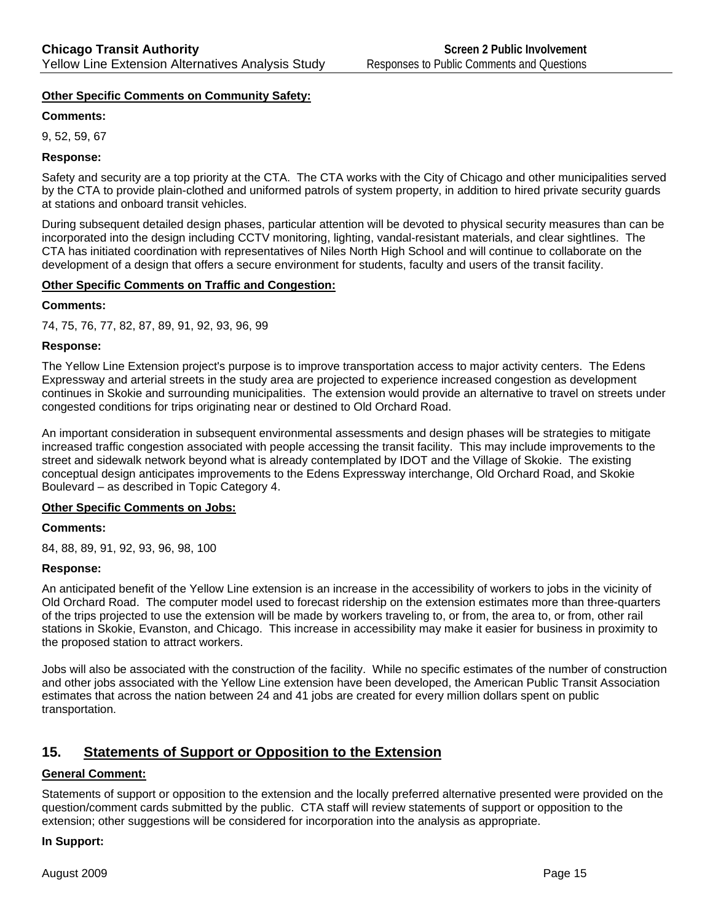#### **Other Specific Comments on Community Safety:**

#### **Comments:**

9, 52, 59, 67

#### **Response:**

Safety and security are a top priority at the CTA. The CTA works with the City of Chicago and other municipalities served by the CTA to provide plain-clothed and uniformed patrols of system property, in addition to hired private security guards at stations and onboard transit vehicles.

During subsequent detailed design phases, particular attention will be devoted to physical security measures than can be incorporated into the design including CCTV monitoring, lighting, vandal-resistant materials, and clear sightlines. The CTA has initiated coordination with representatives of Niles North High School and will continue to collaborate on the development of a design that offers a secure environment for students, faculty and users of the transit facility.

#### **Other Specific Comments on Traffic and Congestion:**

#### **Comments:**

74, 75, 76, 77, 82, 87, 89, 91, 92, 93, 96, 99

#### **Response:**

The Yellow Line Extension project's purpose is to improve transportation access to major activity centers. The Edens Expressway and arterial streets in the study area are projected to experience increased congestion as development continues in Skokie and surrounding municipalities. The extension would provide an alternative to travel on streets under congested conditions for trips originating near or destined to Old Orchard Road.

An important consideration in subsequent environmental assessments and design phases will be strategies to mitigate increased traffic congestion associated with people accessing the transit facility. This may include improvements to the street and sidewalk network beyond what is already contemplated by IDOT and the Village of Skokie. The existing conceptual design anticipates improvements to the Edens Expressway interchange, Old Orchard Road, and Skokie Boulevard – as described in Topic Category 4.

#### **Other Specific Comments on Jobs:**

#### **Comments:**

84, 88, 89, 91, 92, 93, 96, 98, 100

#### **Response:**

An anticipated benefit of the Yellow Line extension is an increase in the accessibility of workers to jobs in the vicinity of Old Orchard Road. The computer model used to forecast ridership on the extension estimates more than three-quarters of the trips projected to use the extension will be made by workers traveling to, or from, the area to, or from, other rail stations in Skokie, Evanston, and Chicago. This increase in accessibility may make it easier for business in proximity to the proposed station to attract workers.

Jobs will also be associated with the construction of the facility. While no specific estimates of the number of construction and other jobs associated with the Yellow Line extension have been developed, the American Public Transit Association estimates that across the nation between 24 and 41 jobs are created for every million dollars spent on public transportation.

# **15. Statements of Support or Opposition to the Extension**

#### **General Comment:**

Statements of support or opposition to the extension and the locally preferred alternative presented were provided on the question/comment cards submitted by the public. CTA staff will review statements of support or opposition to the extension; other suggestions will be considered for incorporation into the analysis as appropriate.

#### **In Support:**

August 2009 **Page 15**